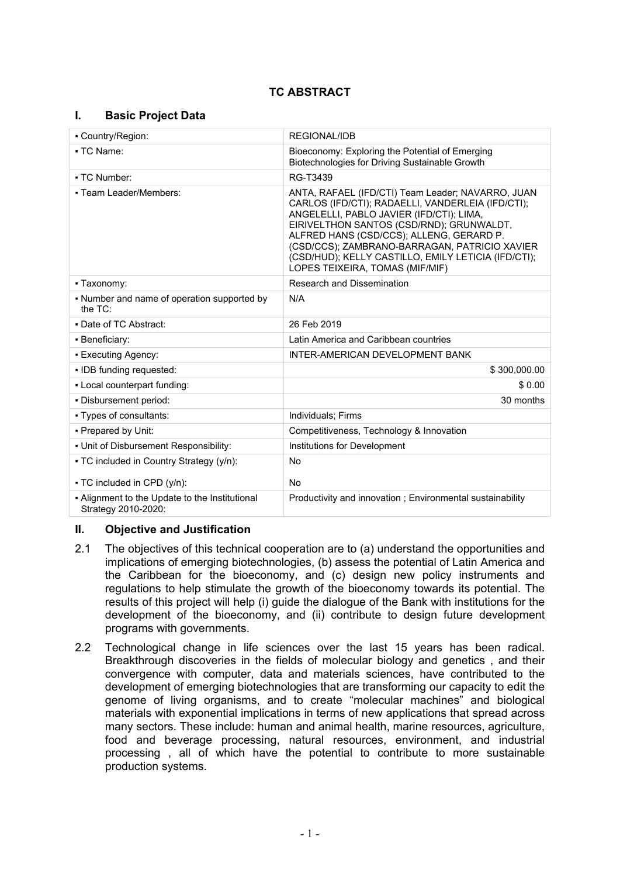# **TC ABSTRACT**

## **I. Basic Project Data**

| - Country/Region:                                                       | <b>REGIONAL/IDB</b>                                                                                                                                                                                                                                                                                                                                                                   |  |
|-------------------------------------------------------------------------|---------------------------------------------------------------------------------------------------------------------------------------------------------------------------------------------------------------------------------------------------------------------------------------------------------------------------------------------------------------------------------------|--|
| • TC Name:                                                              | Bioeconomy: Exploring the Potential of Emerging<br>Biotechnologies for Driving Sustainable Growth                                                                                                                                                                                                                                                                                     |  |
| • TC Number:                                                            | RG-T3439                                                                                                                                                                                                                                                                                                                                                                              |  |
| - Team Leader/Members:                                                  | ANTA, RAFAEL (IFD/CTI) Team Leader; NAVARRO, JUAN<br>CARLOS (IFD/CTI); RADAELLI, VANDERLEIA (IFD/CTI);<br>ANGELELLI, PABLO JAVIER (IFD/CTI); LIMA,<br>EIRIVELTHON SANTOS (CSD/RND); GRUNWALDT,<br>ALFRED HANS (CSD/CCS); ALLENG, GERARD P.<br>(CSD/CCS); ZAMBRANO-BARRAGAN, PATRICIO XAVIER<br>(CSD/HUD); KELLY CASTILLO, EMILY LETICIA (IFD/CTI);<br>LOPES TEIXEIRA, TOMAS (MIF/MIF) |  |
| • Taxonomy:                                                             | Research and Dissemination                                                                                                                                                                                                                                                                                                                                                            |  |
| • Number and name of operation supported by<br>the $TC$ :               | N/A                                                                                                                                                                                                                                                                                                                                                                                   |  |
| . Date of TC Abstract:                                                  | 26 Feb 2019                                                                                                                                                                                                                                                                                                                                                                           |  |
| • Beneficiary:                                                          | Latin America and Caribbean countries                                                                                                                                                                                                                                                                                                                                                 |  |
| • Executing Agency:                                                     | INTER-AMERICAN DEVELOPMENT BANK                                                                                                                                                                                                                                                                                                                                                       |  |
| • IDB funding requested:                                                | \$300,000.00                                                                                                                                                                                                                                                                                                                                                                          |  |
| . Local counterpart funding:                                            | \$0.00                                                                                                                                                                                                                                                                                                                                                                                |  |
| - Disbursement period:                                                  | 30 months                                                                                                                                                                                                                                                                                                                                                                             |  |
| • Types of consultants:                                                 | Individuals; Firms                                                                                                                                                                                                                                                                                                                                                                    |  |
| - Prepared by Unit:                                                     | Competitiveness, Technology & Innovation                                                                                                                                                                                                                                                                                                                                              |  |
| - Unit of Disbursement Responsibility:                                  | Institutions for Development                                                                                                                                                                                                                                                                                                                                                          |  |
| • TC included in Country Strategy (y/n):<br>• TC included in CPD (y/n): | <b>No</b><br>No                                                                                                                                                                                                                                                                                                                                                                       |  |
| - Alignment to the Update to the Institutional<br>Strategy 2010-2020:   | Productivity and innovation; Environmental sustainability                                                                                                                                                                                                                                                                                                                             |  |

## **II. Objective and Justification**

- 2.1 The objectives of this technical cooperation are to (a) understand the opportunities and implications of emerging biotechnologies, (b) assess the potential of Latin America and the Caribbean for the bioeconomy, and (c) design new policy instruments and regulations to help stimulate the growth of the bioeconomy towards its potential. The results of this project will help (i) guide the dialogue of the Bank with institutions for the development of the bioeconomy, and (ii) contribute to design future development programs with governments.
- 2.2 Technological change in life sciences over the last 15 years has been radical. Breakthrough discoveries in the fields of molecular biology and genetics , and their convergence with computer, data and materials sciences, have contributed to the development of emerging biotechnologies that are transforming our capacity to edit the genome of living organisms, and to create "molecular machines" and biological materials with exponential implications in terms of new applications that spread across many sectors. These include: human and animal health, marine resources, agriculture, food and beverage processing, natural resources, environment, and industrial processing , all of which have the potential to contribute to more sustainable production systems.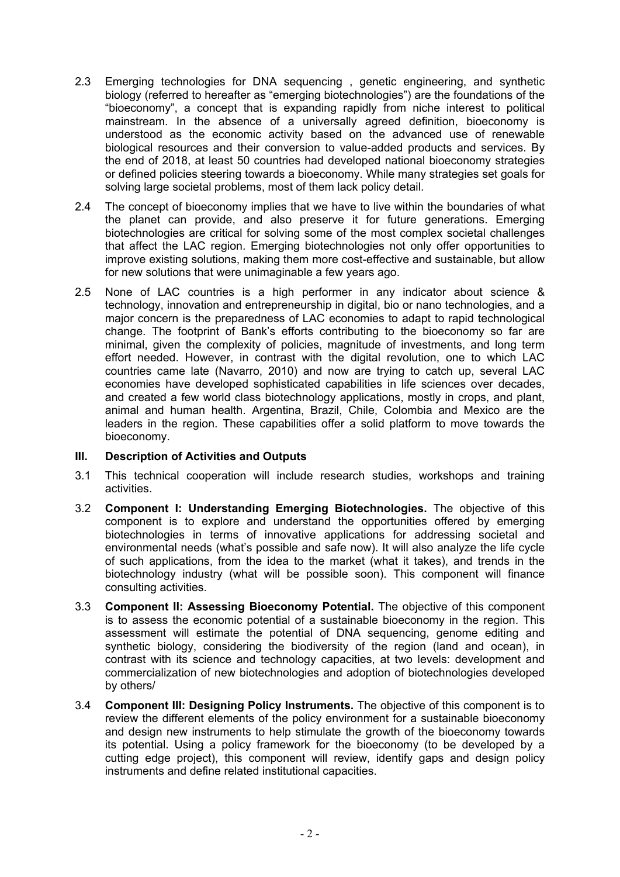- 2.3 Emerging technologies for DNA sequencing , genetic engineering, and synthetic biology (referred to hereafter as "emerging biotechnologies") are the foundations of the "bioeconomy", a concept that is expanding rapidly from niche interest to political mainstream. In the absence of a universally agreed definition, bioeconomy is understood as the economic activity based on the advanced use of renewable biological resources and their conversion to value-added products and services. By the end of 2018, at least 50 countries had developed national bioeconomy strategies or defined policies steering towards a bioeconomy. While many strategies set goals for solving large societal problems, most of them lack policy detail.
- 2.4 The concept of bioeconomy implies that we have to live within the boundaries of what the planet can provide, and also preserve it for future generations. Emerging biotechnologies are critical for solving some of the most complex societal challenges that affect the LAC region. Emerging biotechnologies not only offer opportunities to improve existing solutions, making them more cost-effective and sustainable, but allow for new solutions that were unimaginable a few years ago.
- 2.5 None of LAC countries is a high performer in any indicator about science & technology, innovation and entrepreneurship in digital, bio or nano technologies, and a major concern is the preparedness of LAC economies to adapt to rapid technological change. The footprint of Bank's efforts contributing to the bioeconomy so far are minimal, given the complexity of policies, magnitude of investments, and long term effort needed. However, in contrast with the digital revolution, one to which LAC countries came late (Navarro, 2010) and now are trying to catch up, several LAC economies have developed sophisticated capabilities in life sciences over decades, and created a few world class biotechnology applications, mostly in crops, and plant, animal and human health. Argentina, Brazil, Chile, Colombia and Mexico are the leaders in the region. These capabilities offer a solid platform to move towards the bioeconomy.

## **III. Description of Activities and Outputs**

- 3.1 This technical cooperation will include research studies, workshops and training activities.
- 3.2 **Component I: Understanding Emerging Biotechnologies.** The objective of this component is to explore and understand the opportunities offered by emerging biotechnologies in terms of innovative applications for addressing societal and environmental needs (what's possible and safe now). It will also analyze the life cycle of such applications, from the idea to the market (what it takes), and trends in the biotechnology industry (what will be possible soon). This component will finance consulting activities.
- 3.3 **Component II: Assessing Bioeconomy Potential.** The objective of this component is to assess the economic potential of a sustainable bioeconomy in the region. This assessment will estimate the potential of DNA sequencing, genome editing and synthetic biology, considering the biodiversity of the region (land and ocean), in contrast with its science and technology capacities, at two levels: development and commercialization of new biotechnologies and adoption of biotechnologies developed by others/
- 3.4 **Component III: Designing Policy Instruments.** The objective of this component is to review the different elements of the policy environment for a sustainable bioeconomy and design new instruments to help stimulate the growth of the bioeconomy towards its potential. Using a policy framework for the bioeconomy (to be developed by a cutting edge project), this component will review, identify gaps and design policy instruments and define related institutional capacities.